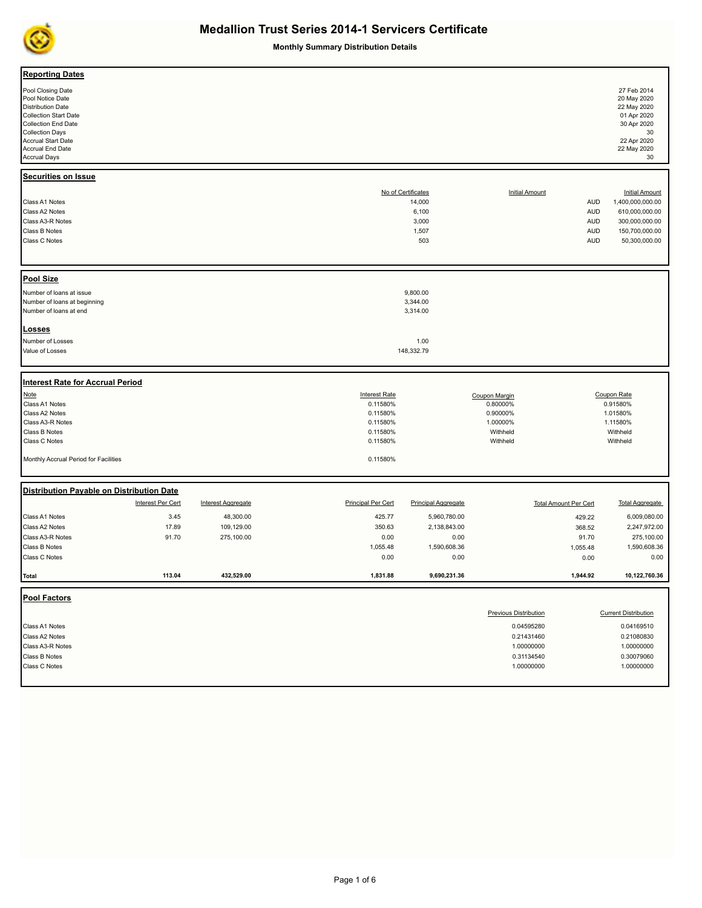

| <b>Reporting Dates</b><br>Pool Closing Date<br>Pool Notice Date<br><b>Distribution Date</b><br><b>Collection Start Date</b><br><b>Collection End Date</b><br><b>Collection Days</b><br><b>Accrual Start Date</b><br>Accrual End Date<br><b>Accrual Days</b><br>Securities on Issue |                   |                           |                                                                                  |                                                         |                                                                                                    |                                                      | 27 Feb 2014<br>20 May 2020<br>22 May 2020<br>01 Apr 2020<br>30 Apr 2020<br>30<br>22 Apr 2020<br>22 May 2020<br>30 |
|------------------------------------------------------------------------------------------------------------------------------------------------------------------------------------------------------------------------------------------------------------------------------------|-------------------|---------------------------|----------------------------------------------------------------------------------|---------------------------------------------------------|----------------------------------------------------------------------------------------------------|------------------------------------------------------|-------------------------------------------------------------------------------------------------------------------|
| Class A1 Notes<br>Class A2 Notes<br>Class A3-R Notes<br>Class B Notes                                                                                                                                                                                                              |                   |                           |                                                                                  | No of Certificates<br>14,000<br>6,100<br>3,000<br>1,507 | <b>Initial Amount</b>                                                                              | <b>AUD</b><br><b>AUD</b><br><b>AUD</b><br><b>AUD</b> | <b>Initial Amount</b><br>1,400,000,000.00<br>610,000,000.00<br>300,000,000.00<br>150,700,000.00                   |
| Class C Notes                                                                                                                                                                                                                                                                      |                   |                           |                                                                                  | 503                                                     |                                                                                                    | <b>AUD</b>                                           | 50,300,000.00                                                                                                     |
|                                                                                                                                                                                                                                                                                    |                   |                           |                                                                                  |                                                         |                                                                                                    |                                                      |                                                                                                                   |
| <b>Pool Size</b><br>Number of loans at issue<br>Number of loans at beginning<br>Number of loans at end                                                                                                                                                                             |                   |                           |                                                                                  | 9,800.00<br>3,344.00<br>3,314.00                        |                                                                                                    |                                                      |                                                                                                                   |
| Losses<br>Number of Losses<br>Value of Losses                                                                                                                                                                                                                                      |                   |                           |                                                                                  | 1.00<br>148,332.79                                      |                                                                                                    |                                                      |                                                                                                                   |
| <b>Interest Rate for Accrual Period</b>                                                                                                                                                                                                                                            |                   |                           |                                                                                  |                                                         |                                                                                                    |                                                      |                                                                                                                   |
| Note<br>Class A1 Notes<br>Class A2 Notes<br>Class A3-R Notes<br>Class B Notes<br>Class C Notes                                                                                                                                                                                     |                   |                           | <b>Interest Rate</b><br>0.11580%<br>0.11580%<br>0.11580%<br>0.11580%<br>0.11580% |                                                         | Coupon Margin<br>0.80000%<br>0.90000%<br>1.00000%<br>Withheld<br>Withheld                          |                                                      | Coupon Rate<br>0.91580%<br>1.01580%<br>1.11580%<br>Withheld<br>Withheld                                           |
| Monthly Accrual Period for Facilities                                                                                                                                                                                                                                              |                   |                           | 0.11580%                                                                         |                                                         |                                                                                                    |                                                      |                                                                                                                   |
| Distribution Payable on Distribution Date                                                                                                                                                                                                                                          | Interest Per Cert | <b>Interest Aggregate</b> | <b>Principal Per Cert</b>                                                        | <b>Principal Aggregate</b>                              | <b>Total Amount Per Cert</b>                                                                       |                                                      | <b>Total Aggregate</b>                                                                                            |
| Class A1 Notes                                                                                                                                                                                                                                                                     | 3.45              | 48,300.00                 | 425.77                                                                           | 5,960,780.00                                            |                                                                                                    | 429.22                                               | 6,009,080.00                                                                                                      |
| Class A2 Notes<br>Class A3-R Notes                                                                                                                                                                                                                                                 | 17.89<br>91.70    | 109,129.00<br>275,100.00  | 350.63<br>0.00                                                                   | 2,138,843.00<br>0.00                                    |                                                                                                    | 368.52                                               | 2,247,972.00<br>275,100.00                                                                                        |
| Class B Notes<br>Class C Notes                                                                                                                                                                                                                                                     |                   |                           | 1,055.48<br>0.00                                                                 | 1,590,608.36<br>0.00                                    |                                                                                                    | 91.70<br>1,055.48<br>0.00                            | 1,590,608.36<br>0.00                                                                                              |
| Total                                                                                                                                                                                                                                                                              | 113.04            | 432,529.00                | 1,831.88                                                                         | 9,690,231.36                                            |                                                                                                    | 1,944.92                                             | 10,122,760.36                                                                                                     |
| <b>Pool Factors</b>                                                                                                                                                                                                                                                                |                   |                           |                                                                                  |                                                         |                                                                                                    |                                                      |                                                                                                                   |
| Class A1 Notes<br>Class A2 Notes<br>Class A3-R Notes<br><b>Class B Notes</b><br>Class C Notes                                                                                                                                                                                      |                   |                           |                                                                                  |                                                         | <b>Previous Distribution</b><br>0.04595280<br>0.21431460<br>1.00000000<br>0.31134540<br>1.00000000 |                                                      | <b>Current Distribution</b><br>0.04169510<br>0.21080830<br>1.00000000<br>0.30079060<br>1.00000000                 |
|                                                                                                                                                                                                                                                                                    |                   |                           |                                                                                  |                                                         |                                                                                                    |                                                      |                                                                                                                   |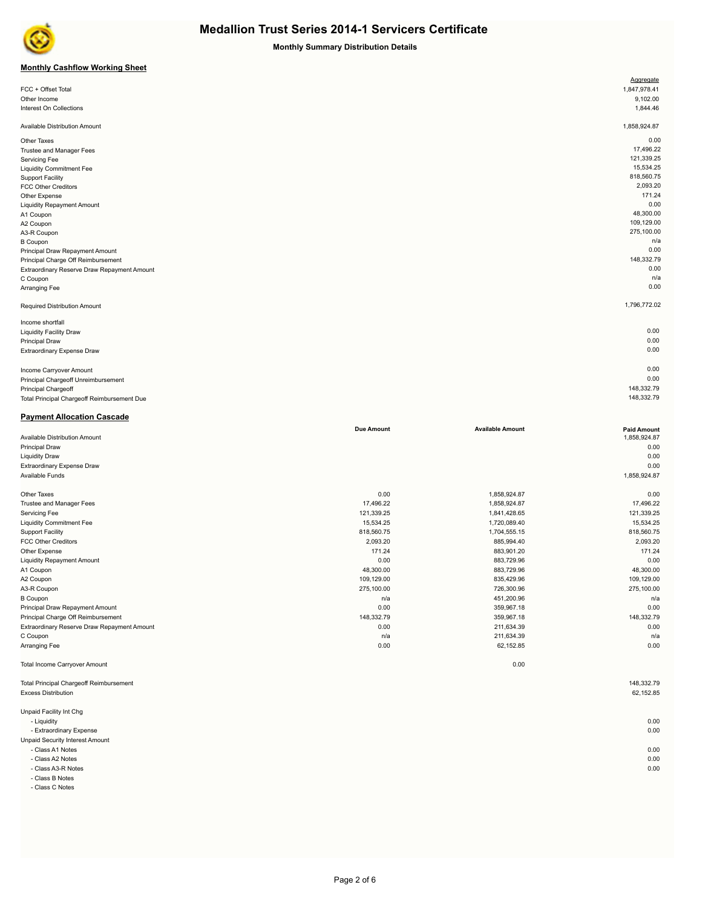

**Monthly Summary Distribution Details**

#### **Monthly Cashflow Working Sheet**

|                                             | Aggregate    |
|---------------------------------------------|--------------|
| FCC + Offset Total                          | 1,847,978.41 |
| Other Income                                | 9,102.00     |
| Interest On Collections                     | 1,844.46     |
|                                             |              |
| Available Distribution Amount               | 1,858,924.87 |
| Other Taxes                                 | 0.00         |
| Trustee and Manager Fees                    | 17,496.22    |
| Servicing Fee                               | 121,339.25   |
| <b>Liquidity Commitment Fee</b>             | 15,534.25    |
| <b>Support Facility</b>                     | 818,560.75   |
| <b>FCC Other Creditors</b>                  | 2,093.20     |
| Other Expense                               | 171.24       |
| <b>Liquidity Repayment Amount</b>           | 0.00         |
| A1 Coupon                                   | 48,300.00    |
| A2 Coupon                                   | 109,129.00   |
| A3-R Coupon                                 | 275,100.00   |
| <b>B</b> Coupon                             | n/a          |
| Principal Draw Repayment Amount             | 0.00         |
| Principal Charge Off Reimbursement          | 148,332.79   |
| Extraordinary Reserve Draw Repayment Amount | 0.00         |
| C Coupon                                    | n/a          |
| Arranging Fee                               | 0.00         |
| Required Distribution Amount                | 1,796,772.02 |
| Income shortfall                            |              |
| <b>Liquidity Facility Draw</b>              | 0.00         |
| <b>Principal Draw</b>                       | 0.00         |
| Extraordinary Expense Draw                  | 0.00         |
|                                             |              |
| Income Carryover Amount                     | 0.00         |
| Principal Chargeoff Unreimbursement         | 0.00         |
| Principal Chargeoff                         | 148,332.79   |
| Total Principal Chargeoff Reimbursement Due | 148,332.79   |

### **Payment Allocation Cascade**

|                                                | <b>Due Amount</b> | <b>Available Amount</b> | <b>Paid Amount</b> |
|------------------------------------------------|-------------------|-------------------------|--------------------|
| Available Distribution Amount                  |                   |                         | 1,858,924.87       |
| <b>Principal Draw</b>                          |                   |                         | 0.00               |
| <b>Liquidity Draw</b>                          |                   |                         | 0.00               |
| <b>Extraordinary Expense Draw</b>              |                   |                         | 0.00               |
| Available Funds                                |                   |                         | 1,858,924.87       |
| Other Taxes                                    | 0.00              | 1,858,924.87            | 0.00               |
| Trustee and Manager Fees                       | 17,496.22         | 1,858,924.87            | 17,496.22          |
| Servicing Fee                                  | 121,339.25        | 1,841,428.65            | 121,339.25         |
| <b>Liquidity Commitment Fee</b>                | 15,534.25         | 1,720,089.40            | 15,534.25          |
| <b>Support Facility</b>                        | 818,560.75        | 1,704,555.15            | 818,560.75         |
| <b>FCC Other Creditors</b>                     | 2,093.20          | 885,994.40              | 2,093.20           |
| Other Expense                                  | 171.24            | 883,901.20              | 171.24             |
| <b>Liquidity Repayment Amount</b>              | 0.00              | 883,729.96              | 0.00               |
| A1 Coupon                                      | 48,300.00         | 883,729.96              | 48,300.00          |
| A2 Coupon                                      | 109,129.00        | 835,429.96              | 109,129.00         |
| A3-R Coupon                                    | 275,100.00        | 726,300.96              | 275,100.00         |
| <b>B</b> Coupon                                | n/a               | 451,200.96              | n/a                |
| Principal Draw Repayment Amount                | 0.00              | 359,967.18              | 0.00               |
| Principal Charge Off Reimbursement             | 148,332.79        | 359.967.18              | 148,332.79         |
| Extraordinary Reserve Draw Repayment Amount    | 0.00              | 211,634.39              | 0.00               |
| C Coupon                                       | n/a               | 211,634.39              | n/a                |
| Arranging Fee                                  | 0.00              | 62,152.85               | 0.00               |
| <b>Total Income Carryover Amount</b>           |                   | 0.00                    |                    |
| <b>Total Principal Chargeoff Reimbursement</b> |                   |                         | 148,332.79         |
| <b>Excess Distribution</b>                     |                   |                         | 62,152.85          |

Unpaid Facility Int Chg - Liquidity 0.00

- Extraordinary Expense 0.00

Unpaid Security Interest Amount - Class A1 Notes 0.00

- Class A2 Notes 0.00

- Class A3-R Notes 0.00

- Class B Notes

- Class C Notes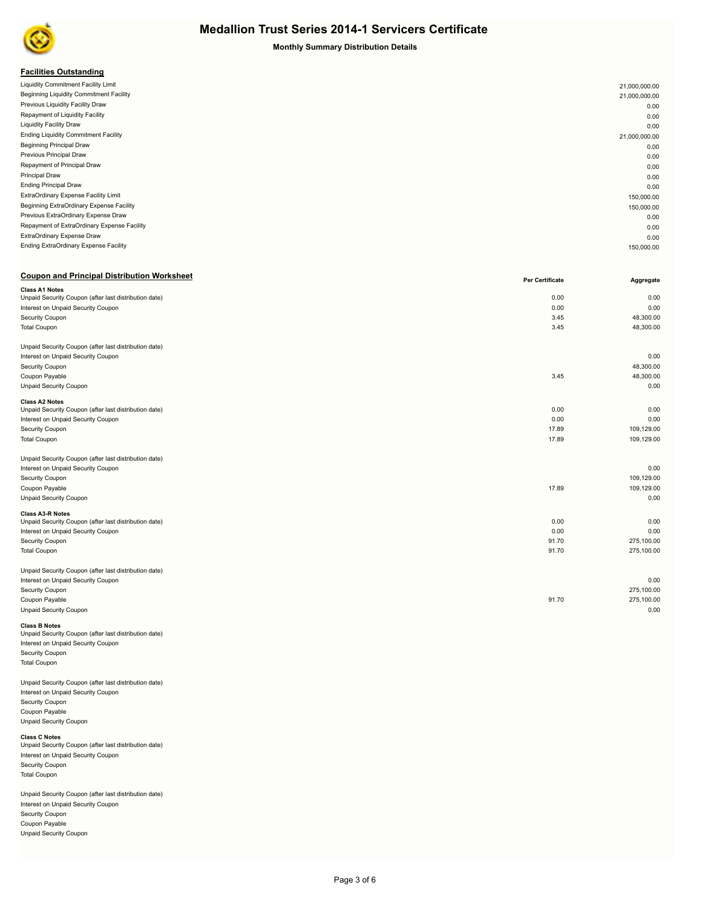

**Monthly Summary Distribution Details**

#### **Facilities Outstanding**

| <b>Liquidity Commitment Facility Limit</b>  | 21,000,000.00 |
|---------------------------------------------|---------------|
| Beginning Liquidity Commitment Facility     | 21,000,000.00 |
| Previous Liquidity Facility Draw            | 0.00          |
| Repayment of Liquidity Facility             | 0.00          |
| <b>Liquidity Facility Draw</b>              | 0.00          |
| <b>Ending Liquidity Commitment Facility</b> | 21,000,000.00 |
| <b>Beginning Principal Draw</b>             | 0.00          |
| Previous Principal Draw                     | 0.00          |
| Repayment of Principal Draw                 | 0.00          |
| Principal Draw                              | 0.00          |
| <b>Ending Principal Draw</b>                | 0.00          |
| ExtraOrdinary Expense Facility Limit        | 150,000.00    |
| Beginning ExtraOrdinary Expense Facility    | 150,000.00    |
| Previous ExtraOrdinary Expense Draw         | 0.00          |
| Repayment of ExtraOrdinary Expense Facility | 0.00          |
| ExtraOrdinary Expense Draw                  | 0.00          |
| Ending ExtraOrdinary Expense Facility       | 150,000.00    |
|                                             |               |

#### **Coupon and Principal Distribution Worksheet Per Certificate Per Certificate Per Certificate**

|                                                       | гы<br><b>OCILIIICALG</b> | Ayyı cyalc |
|-------------------------------------------------------|--------------------------|------------|
| <b>Class A1 Notes</b>                                 |                          | 0.00       |
| Unpaid Security Coupon (after last distribution date) | 0.00                     |            |
| Interest on Unpaid Security Coupon                    | 0.00                     | 0.00       |
| Security Coupon                                       | 3.45                     | 48,300.00  |
| <b>Total Coupon</b>                                   | 3.45                     | 48,300.00  |
| Unpaid Security Coupon (after last distribution date) |                          |            |
| Interest on Unpaid Security Coupon                    |                          | 0.00       |
| Security Coupon                                       |                          | 48,300.00  |
| Coupon Payable                                        | 3.45                     | 48,300.00  |
| <b>Unpaid Security Coupon</b>                         |                          | 0.00       |
| <b>Class A2 Notes</b>                                 |                          |            |
| Unpaid Security Coupon (after last distribution date) | 0.00                     | 0.00       |
| Interest on Unpaid Security Coupon                    | 0.00                     | 0.00       |
| Security Coupon                                       | 17.89                    | 109,129.00 |
| <b>Total Coupon</b>                                   | 17.89                    | 109,129.00 |
| Unpaid Security Coupon (after last distribution date) |                          |            |
| Interest on Unpaid Security Coupon                    |                          | 0.00       |
| Security Coupon                                       |                          | 109,129.00 |
| Coupon Payable                                        | 17.89                    | 109.129.00 |
| <b>Unpaid Security Coupon</b>                         |                          | 0.00       |
| <b>Class A3-R Notes</b>                               | 0.00                     | 0.00       |
| Unpaid Security Coupon (after last distribution date) | 0.00                     | 0.00       |
| Interest on Unpaid Security Coupon                    |                          |            |
| Security Coupon                                       | 91.70                    | 275,100.00 |
| <b>Total Coupon</b>                                   | 91.70                    | 275,100.00 |
| Unpaid Security Coupon (after last distribution date) |                          |            |
| Interest on Unpaid Security Coupon                    |                          | 0.00       |
| Security Coupon                                       |                          | 275,100.00 |
| Coupon Payable                                        | 91.70                    | 275,100.00 |
| <b>Unpaid Security Coupon</b>                         |                          | 0.00       |
|                                                       |                          |            |

### **Class B Notes**<br>Unpaid Security Coupon (after last distribution date) Interest on Unpaid Security Coupon

Security Coupon Total Coupon

Unpaid Security Coupon (after last distribution date) Interest on Unpaid Security Coupon Security Coupon Coupon Payable Unpaid Security Coupon

#### **Class C Notes** Unpaid Security Coupon (after last distribution date) Interest on Unpaid Security Coupon Security Coupon Total Coupon

Unpaid Security Coupon (after last distribution date) Interest on Unpaid Security Coupon Security Coupon Coupon Payable Unpaid Security Coupon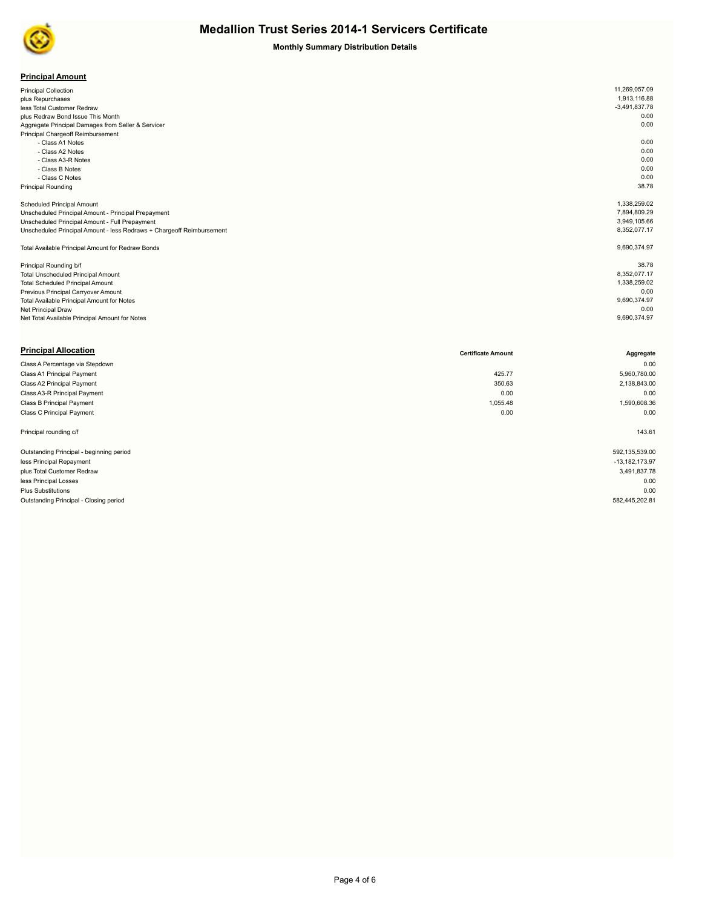

| <b>Principal Amount</b> |
|-------------------------|
|-------------------------|

| <b>Principal Collection</b>                                           | 11,269,057.09   |
|-----------------------------------------------------------------------|-----------------|
| plus Repurchases                                                      | 1,913,116.88    |
| less Total Customer Redraw                                            | $-3,491,837.78$ |
| plus Redraw Bond Issue This Month                                     | 0.00            |
| Aggregate Principal Damages from Seller & Servicer                    | 0.00            |
| Principal Chargeoff Reimbursement                                     |                 |
| - Class A1 Notes                                                      | 0.00            |
| - Class A2 Notes                                                      | 0.00            |
| - Class A3-R Notes                                                    | 0.00            |
| - Class B Notes                                                       | 0.00            |
| - Class C Notes                                                       | 0.00            |
| <b>Principal Rounding</b>                                             | 38.78           |
|                                                                       |                 |
| <b>Scheduled Principal Amount</b>                                     | 1,338,259.02    |
| Unscheduled Principal Amount - Principal Prepayment                   | 7,894,809.29    |
| Unscheduled Principal Amount - Full Prepayment                        | 3,949,105.66    |
| Unscheduled Principal Amount - less Redraws + Chargeoff Reimbursement | 8,352,077.17    |
|                                                                       |                 |
| Total Available Principal Amount for Redraw Bonds                     | 9,690,374.97    |
|                                                                       |                 |
| Principal Rounding b/f                                                | 38.78           |
| <b>Total Unscheduled Principal Amount</b>                             | 8,352,077.17    |
| <b>Total Scheduled Principal Amount</b>                               | 1,338,259.02    |
| Previous Principal Carryover Amount                                   | 0.00            |
| Total Available Principal Amount for Notes                            | 9,690,374.97    |
| Net Principal Draw                                                    | 0.00            |
| Net Total Available Principal Amount for Notes                        | 9,690,374.97    |

| <b>Principal Allocation</b>              | <b>Certificate Amount</b> | Aggregate          |
|------------------------------------------|---------------------------|--------------------|
| Class A Percentage via Stepdown          |                           | 0.00               |
| Class A1 Principal Payment               | 425.77                    | 5,960,780.00       |
| Class A2 Principal Payment               | 350.63                    | 2,138,843.00       |
| Class A3-R Principal Payment             | 0.00                      | 0.00               |
| Class B Principal Payment                | 1,055.48                  | 1,590,608.36       |
| Class C Principal Payment                | 0.00                      | 0.00               |
| Principal rounding c/f                   |                           | 143.61             |
| Outstanding Principal - beginning period |                           | 592,135,539.00     |
| less Principal Repayment                 |                           | $-13, 182, 173.97$ |
| plus Total Customer Redraw               |                           | 3,491,837.78       |
| less Principal Losses                    |                           | 0.00               |
| <b>Plus Substitutions</b>                |                           | 0.00               |
| Outstanding Principal - Closing period   |                           | 582,445,202.81     |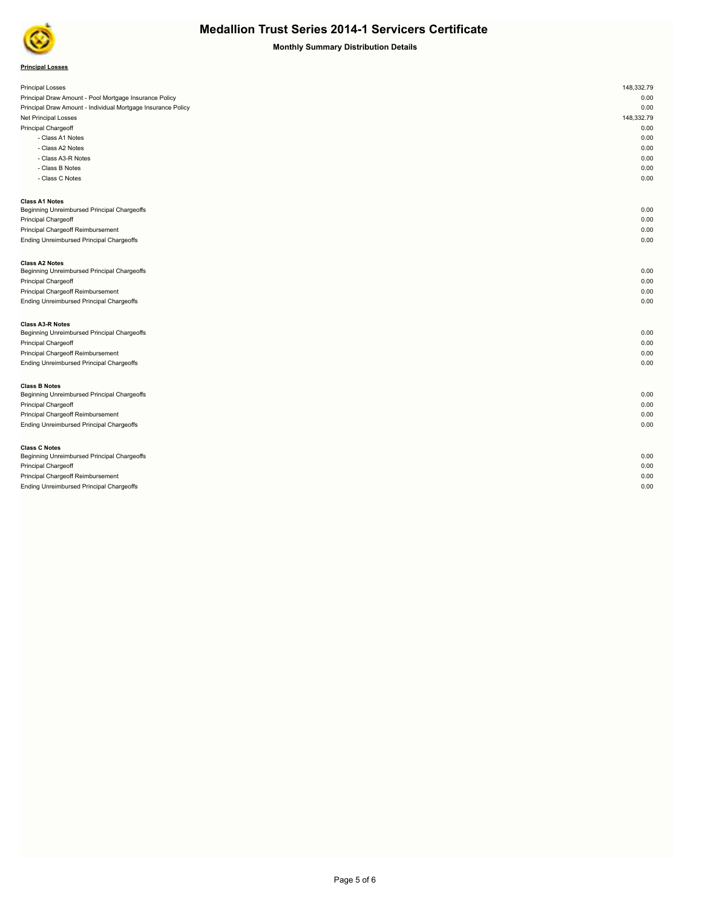

| <b>Principal Losses</b> |  |
|-------------------------|--|
|-------------------------|--|

| <b>Principal Losses</b>                                      | 148,332.79 |
|--------------------------------------------------------------|------------|
| Principal Draw Amount - Pool Mortgage Insurance Policy       | 0.00       |
| Principal Draw Amount - Individual Mortgage Insurance Policy | 0.00       |
| <b>Net Principal Losses</b>                                  | 148,332.79 |
| Principal Chargeoff                                          | 0.00       |
| - Class A1 Notes                                             | 0.00       |
| - Class A2 Notes                                             | 0.00       |
| - Class A3-R Notes                                           | 0.00       |
| - Class B Notes                                              | 0.00       |
| - Class C Notes                                              | 0.00       |
| <b>Class A1 Notes</b>                                        |            |
| Beginning Unreimbursed Principal Chargeoffs                  | 0.00       |
| Principal Chargeoff                                          | 0.00       |
| Principal Chargeoff Reimbursement                            | 0.00       |
| Ending Unreimbursed Principal Chargeoffs                     | 0.00       |
| <b>Class A2 Notes</b>                                        |            |
| Beginning Unreimbursed Principal Chargeoffs                  | 0.00       |
| Principal Chargeoff                                          | 0.00       |
| Principal Chargeoff Reimbursement                            | 0.00       |
| Ending Unreimbursed Principal Chargeoffs                     | 0.00       |
| <b>Class A3-R Notes</b>                                      |            |
| Beginning Unreimbursed Principal Chargeoffs                  | 0.00       |
| Principal Chargeoff                                          | 0.00       |
| Principal Chargeoff Reimbursement                            | 0.00       |
| Ending Unreimbursed Principal Chargeoffs                     | 0.00       |
| <b>Class B Notes</b>                                         |            |
| Beginning Unreimbursed Principal Chargeoffs                  | 0.00       |
| Principal Chargeoff                                          | 0.00       |
| Principal Chargeoff Reimbursement                            | 0.00       |
| Ending Unreimbursed Principal Chargeoffs                     | 0.00       |
| <b>Class C Notes</b>                                         |            |
| Beginning Unreimbursed Principal Chargeoffs                  | 0.00       |
| Principal Chargeoff                                          | 0.00       |
| Principal Chargeoff Reimbursement                            | 0.00       |
| <b>Ending Unreimbursed Principal Chargeoffs</b>              | 0.00       |
|                                                              |            |